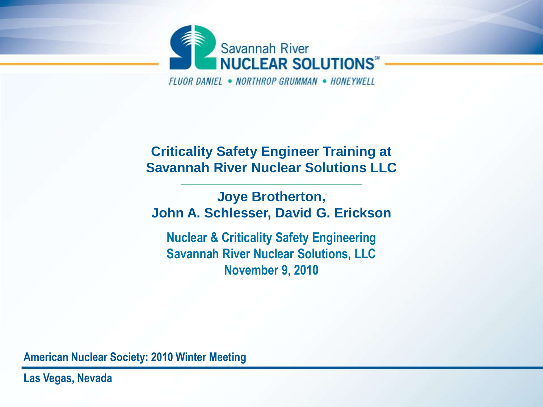

FIUOR DANIFI . NORTHROP GRUMMAN . HONFYWFIT

#### **Criticality Safety Engineer Training at Savannah River Nuclear Solutions LLC**

**Joye Brotherton, John A. Schlesser, David G. Erickson**

**Nuclear & Criticality Safety Engineering Savannah River Nuclear Solutions, LLC November 9, 2010**

**American Nuclear Society: 2010 Winter Meeting**

**Las Vegas, Nevada**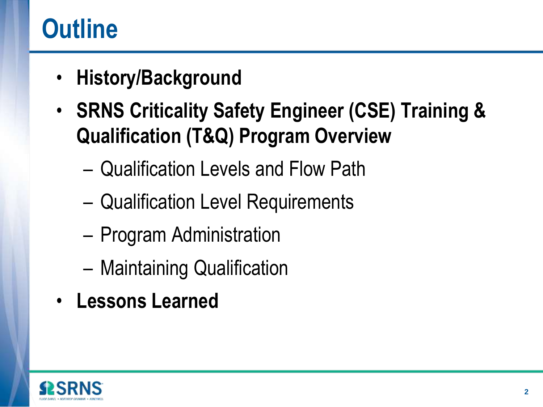## **Outline**

- **History/Background**
- **SRNS Criticality Safety Engineer (CSE) Training & Qualification (T&Q) Program Overview**
	- Qualification Levels and Flow Path
	- Qualification Level Requirements
	- Program Administration
	- Maintaining Qualification
- **Lessons Learned**

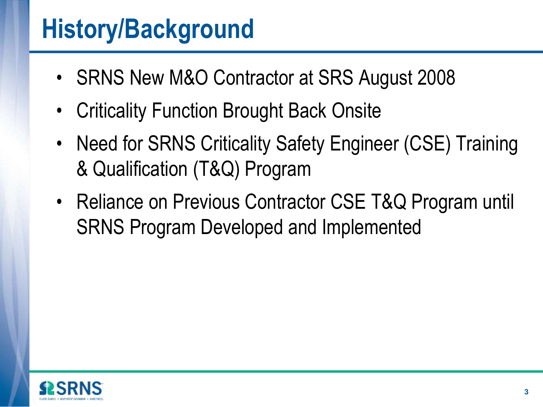#### **History/Background**

- SRNS New M&O Contractor at SRS August 2008
- Criticality Function Brought Back Onsite
- Need for SRNS Criticality Safety Engineer (CSE) Training & Qualification (T&Q) Program
- Reliance on Previous Contractor CSE T&Q Program until SRNS Program Developed and Implemented

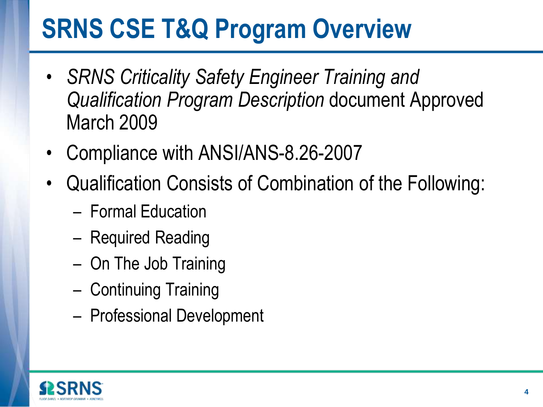## **SRNS CSE T&Q Program Overview**

- *SRNS Criticality Safety Engineer Training and Qualification Program Description* document Approved March 2009
- Compliance with ANSI/ANS-8.26-2007
- Qualification Consists of Combination of the Following:
	- Formal Education
	- Required Reading
	- On The Job Training
	- Continuing Training
	- Professional Development

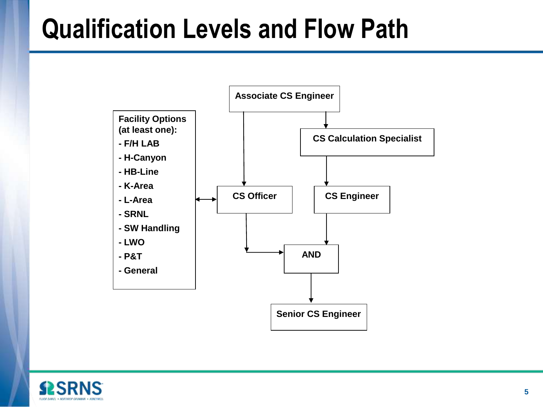### **Qualification Levels and Flow Path**



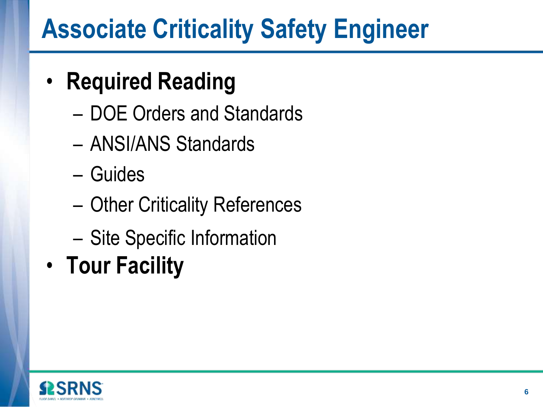### **Associate Criticality Safety Engineer**

#### • **Required Reading**

- DOE Orders and Standards
- ANSI/ANS Standards
- Guides
- Other Criticality References
- Site Specific Information
- **Tour Facility**

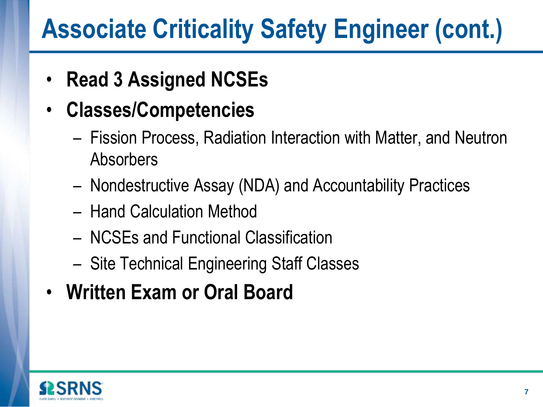## **Associate Criticality Safety Engineer (cont.)**

- **Read 3 Assigned NCSEs**
- **Classes/Competencies**
	- Fission Process, Radiation Interaction with Matter, and Neutron Absorbers
	- Nondestructive Assay (NDA) and Accountability Practices
	- Hand Calculation Method
	- NCSEs and Functional Classification
	- Site Technical Engineering Staff Classes
- **Written Exam or Oral Board**

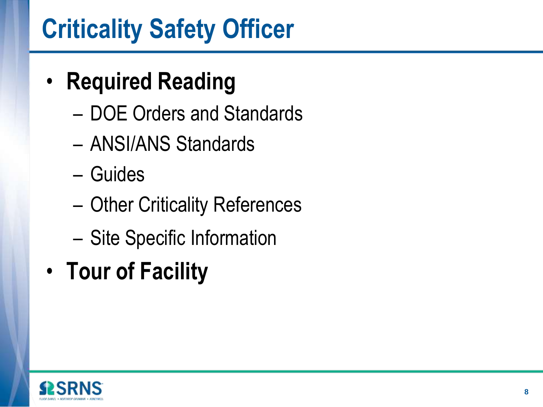## **Criticality Safety Officer**

#### • **Required Reading**

- DOE Orders and Standards
- ANSI/ANS Standards
- Guides
- Other Criticality References
- Site Specific Information
- **Tour of Facility**

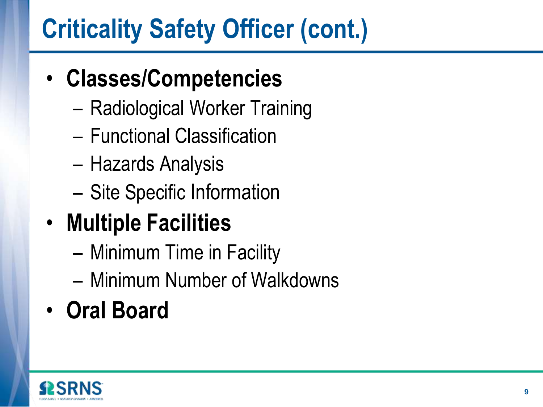# **Criticality Safety Officer (cont.)**

#### • **Classes/Competencies**

- Radiological Worker Training
- Functional Classification
- Hazards Analysis
- Site Specific Information
- **Multiple Facilities**
	- Minimum Time in Facility
	- Minimum Number of Walkdowns
- **Oral Board**

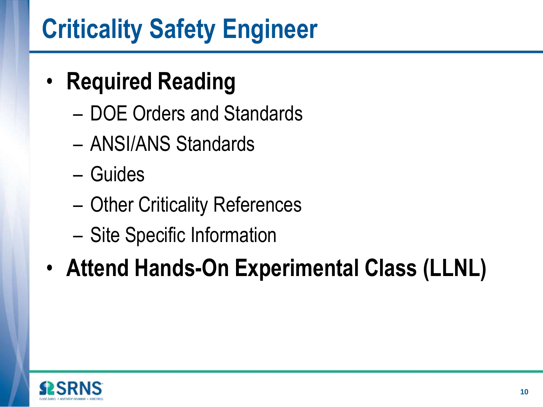## **Criticality Safety Engineer**

#### • **Required Reading**

- DOE Orders and Standards
- ANSI/ANS Standards
- Guides
- Other Criticality References
- Site Specific Information

#### • **Attend Hands-On Experimental Class (LLNL)**

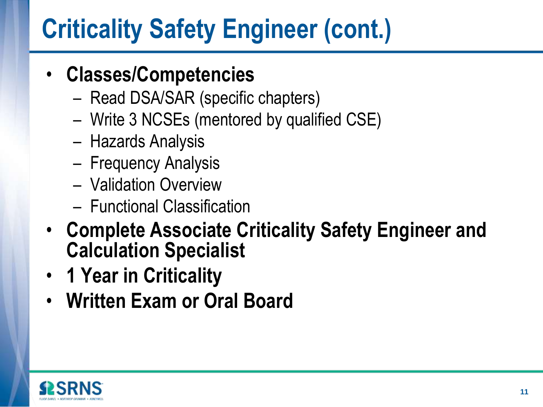# **Criticality Safety Engineer (cont.)**

#### • **Classes/Competencies**

- Read DSA/SAR (specific chapters)
- Write 3 NCSEs (mentored by qualified CSE)
- Hazards Analysis
- Frequency Analysis
- Validation Overview
- Functional Classification
- **Complete Associate Criticality Safety Engineer and Calculation Specialist**
- **1 Year in Criticality**
- **Written Exam or Oral Board**

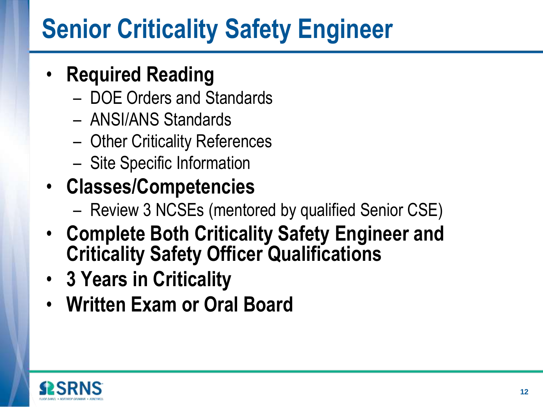## **Senior Criticality Safety Engineer**

#### • **Required Reading**

- DOE Orders and Standards
- ANSI/ANS Standards
- Other Criticality References
- Site Specific Information
- **Classes/Competencies**
	- Review 3 NCSEs (mentored by qualified Senior CSE)
- **Complete Both Criticality Safety Engineer and Criticality Safety Officer Qualifications**
- **3 Years in Criticality**
- **Written Exam or Oral Board**

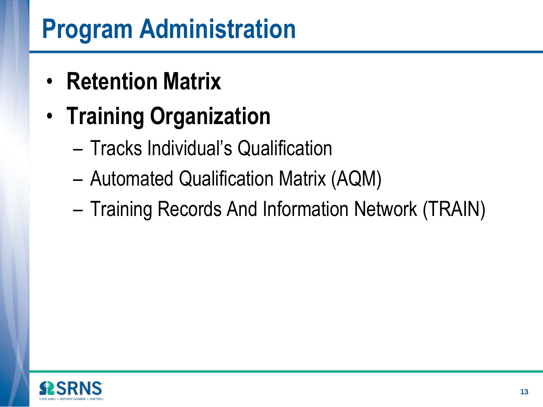### **Program Administration**

- **Retention Matrix**
- **Training Organization**
	- Tracks Individual's Qualification
	- Automated Qualification Matrix (AQM)
	- Training Records And Information Network (TRAIN)

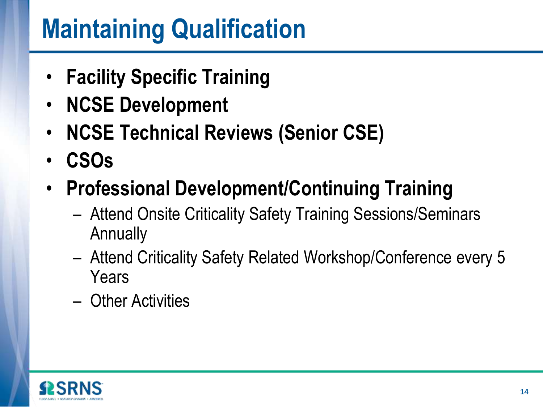### **Maintaining Qualification**

- **Facility Specific Training**
- **NCSE Development**
- **NCSE Technical Reviews (Senior CSE)**
- **CSOs**
- **Professional Development/Continuing Training**
	- Attend Onsite Criticality Safety Training Sessions/Seminars **Annually**
	- Attend Criticality Safety Related Workshop/Conference every 5 Years
	- Other Activities